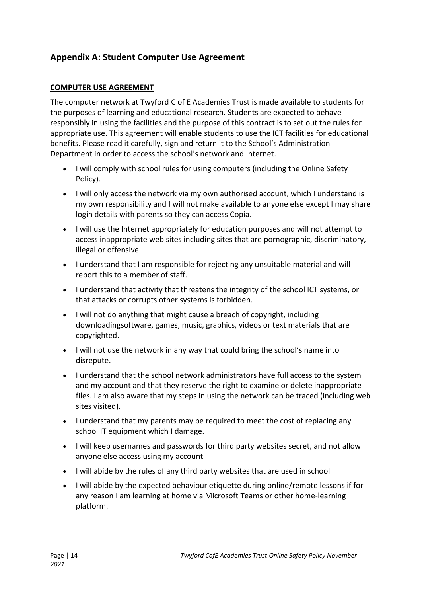# **Appendix A: Student Computer Use Agreement**

#### **COMPUTER USE AGREEMENT**

The computer network at Twyford C of E Academies Trust is made available to students for the purposes of learning and educational research. Students are expected to behave responsibly in using the facilities and the purpose of this contract is to set out the rules for appropriate use. This agreement will enable students to use the ICT facilities for educational benefits. Please read it carefully, sign and return it to the School's Administration Department in order to access the school's network and Internet.

- I will comply with school rules for using computers (including the Online Safety Policy).
- I will only access the network via my own authorised account, which I understand is my own responsibility and I will not make available to anyone else except I may share login details with parents so they can access Copia.
- I will use the Internet appropriately for education purposes and will not attempt to access inappropriate web sites including sites that are pornographic, discriminatory, illegal or offensive.
- I understand that I am responsible for rejecting any unsuitable material and will report this to a member of staff.
- I understand that activity that threatens the integrity of the school ICT systems, or that attacks or corrupts other systems is forbidden.
- I will not do anything that might cause a breach of copyright, including downloadingsoftware, games, music, graphics, videos or text materials that are copyrighted.
- I will not use the network in any way that could bring the school's name into disrepute.
- I understand that the school network administrators have full access to the system and my account and that they reserve the right to examine or delete inappropriate files. I am also aware that my steps in using the network can be traced (including web sites visited).
- I understand that my parents may be required to meet the cost of replacing any school IT equipment which I damage.
- I will keep usernames and passwords for third party websites secret, and not allow anyone else access using my account
- I will abide by the rules of any third party websites that are used in school
- I will abide by the expected behaviour etiquette during online/remote lessons if for any reason I am learning at home via Microsoft Teams or other home-learning platform.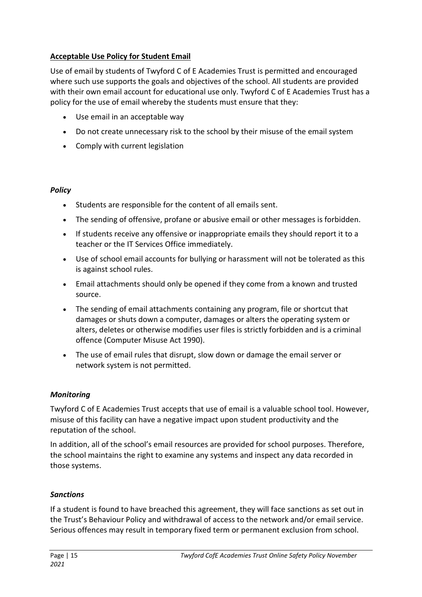## **Acceptable Use Policy for Student Email**

Use of email by students of Twyford C of E Academies Trust is permitted and encouraged where such use supports the goals and objectives of the school. All students are provided with their own email account for educational use only. Twyford C of E Academies Trust has a policy for the use of email whereby the students must ensure that they:

- Use email in an acceptable way
- Do not create unnecessary risk to the school by their misuse of the email system
- Comply with current legislation

#### *Policy*

- Students are responsible for the content of all emails sent.
- The sending of offensive, profane or abusive email or other messages is forbidden.
- If students receive any offensive or inappropriate emails they should report it to a teacher or the IT Services Office immediately.
- Use of school email accounts for bullying or harassment will not be tolerated as this is against school rules.
- Email attachments should only be opened if they come from a known and trusted source.
- The sending of email attachments containing any program, file or shortcut that damages or shuts down a computer, damages or alters the operating system or alters, deletes or otherwise modifies user files is strictly forbidden and is a criminal offence (Computer Misuse Act 1990).
- The use of email rules that disrupt, slow down or damage the email server or network system is not permitted.

### *Monitoring*

Twyford C of E Academies Trust accepts that use of email is a valuable school tool. However, misuse of this facility can have a negative impact upon student productivity and the reputation of the school.

In addition, all of the school's email resources are provided for school purposes. Therefore, the school maintains the right to examine any systems and inspect any data recorded in those systems.

#### *Sanctions*

If a student is found to have breached this agreement, they will face sanctions as set out in the Trust's Behaviour Policy and withdrawal of access to the network and/or email service. Serious offences may result in temporary fixed term or permanent exclusion from school.